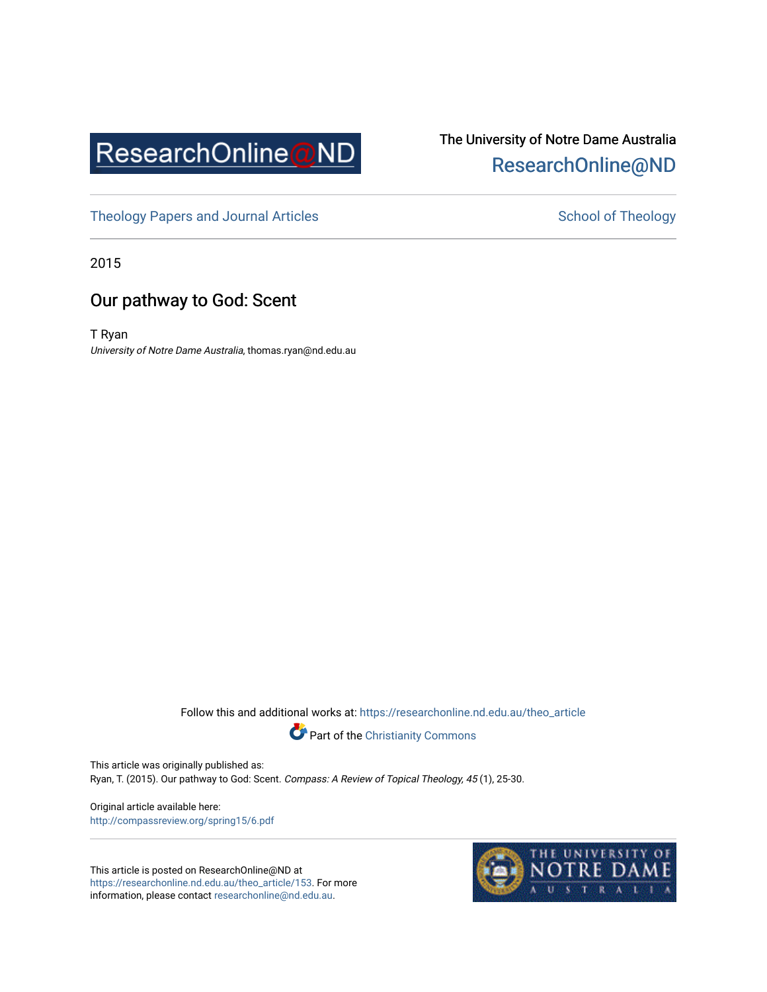

# The University of Notre Dame Australia [ResearchOnline@ND](https://researchonline.nd.edu.au/)

[Theology Papers and Journal Articles](https://researchonline.nd.edu.au/theo_article) and [School of Theology](https://researchonline.nd.edu.au/theo) School of Theology

2015

# Our pathway to God: Scent

T Ryan University of Notre Dame Australia, thomas.ryan@nd.edu.au

Follow this and additional works at: [https://researchonline.nd.edu.au/theo\\_article](https://researchonline.nd.edu.au/theo_article?utm_source=researchonline.nd.edu.au%2Ftheo_article%2F153&utm_medium=PDF&utm_campaign=PDFCoverPages) 



This article was originally published as: Ryan, T. (2015). Our pathway to God: Scent. Compass: A Review of Topical Theology, 45 (1), 25-30.

Original article available here: <http://compassreview.org/spring15/6.pdf>

This article is posted on ResearchOnline@ND at [https://researchonline.nd.edu.au/theo\\_article/153](https://researchonline.nd.edu.au/theo_article/153). For more information, please contact [researchonline@nd.edu.au.](mailto:researchonline@nd.edu.au)

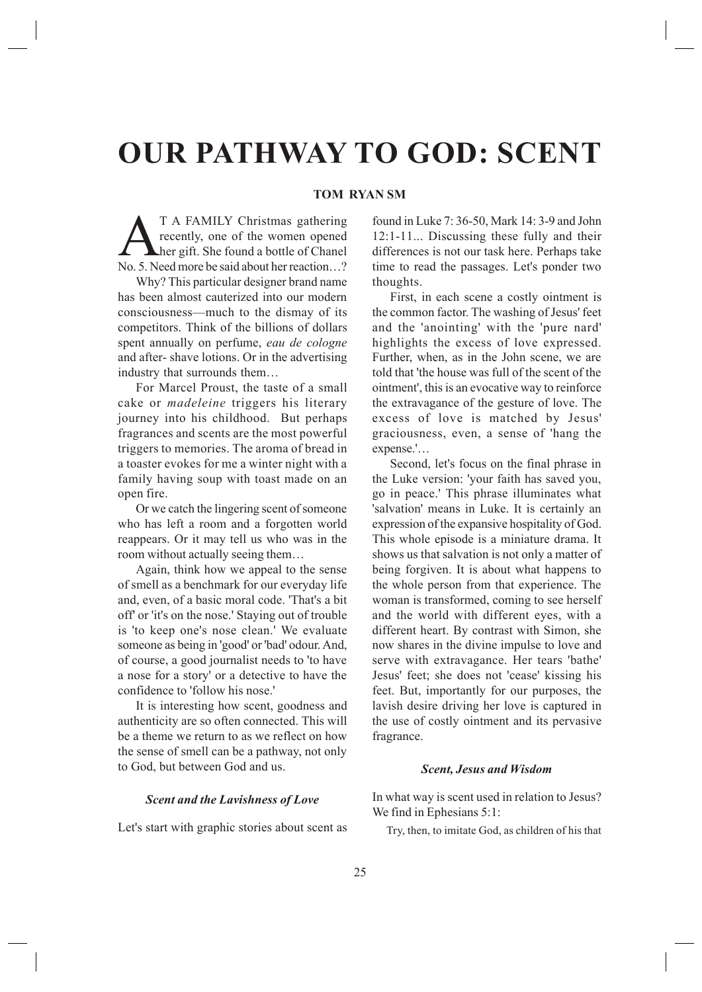# **OUR PATHWAY TO GOD: SCENT**

## **TOM RYAN SM**

T A FAMILY Christmas gathering<br>recently, one of the women opened<br>her gift. She found a bottle of Chanel<br>No. 5 Need more be said about her reaction. recently, one of the women opened her gift. She found a bottle of Chanel No. 5. Need more be said about her reaction...?

Why? This particular designer brand name has been almost cauterized into our modern consciousness—much to the dismay of its competitors. Think of the billions of dollars spent annually on perfume, *eau de cologne* and after- shave lotions. Or in the advertising industry that surrounds them...

For Marcel Proust, the taste of a small cake or *madeleine* triggers his literary journey into his childhood. But perhaps fragrances and scents are the most powerful triggers to memories. The aroma of bread in a toaster evokes for me a winter night with a family having soup with toast made on an open fire.

Or we catch the lingering scent of someone who has left a room and a forgotten world reappears. Or it may tell us who was in the room without actually seeing them...

Again, think how we appeal to the sense of smell as a benchmark for our everyday life and, even, of a basic moral code. 'That's a bit off' or 'it's on the nose.' Staying out of trouble is 'to keep one's nose clean.' We evaluate someone as being in 'good' or 'bad' odour. And, of course, a good journalist needs to 'to have a nose for a story' or a detective to have the confidence to 'follow his nose.'

It is interesting how scent, goodness and authenticity are so often connected. This will be a theme we return to as we reflect on how the sense of smell can be a pathway, not only to God, but between God and us.

#### **Scent and the Lavishness of Love**

Let's start with graphic stories about scent as

found in Luke 7: 36-50, Mark 14: 3-9 and John  $12:1-11...$  Discussing these fully and their differences is not our task here. Perhaps take time to read the passages. Let's ponder two thoughts.

First, in each scene a costly ointment is the common factor. The washing of Jesus' feet and the 'anointing' with the 'pure nard' highlights the excess of love expressed. Further, when, as in the John scene, we are told that 'the house was full of the scent of the ointment', this is an evocative way to reinforce the extravagance of the gesture of love. The excess of love is matched by Jesus' graciousness, even, a sense of 'hang the expense.'...

Second, let's focus on the final phrase in the Luke version: 'your faith has saved you, go in peace.' This phrase illuminates what 'salvation' means in Luke. It is certainly an expression of the expansive hospitality of God. This whole episode is a miniature drama. It shows us that salvation is not only a matter of being forgiven. It is about what happens to the whole person from that experience. The woman is transformed, coming to see herself and the world with different eyes, with a different heart. By contrast with Simon, she now shares in the divine impulse to love and serve with extravagance. Her tears 'bathe' Jesus' feet; she does not 'cease' kissing his feet. But, importantly for our purposes, the lavish desire driving her love is captured in the use of costly ointment and its pervasive fragrance.

### *Scent. Jesus and Wisdom*

In what way is scent used in relation to Jesus? We find in Ephesians  $5:1$ :

Try, then, to imitate God, as children of his that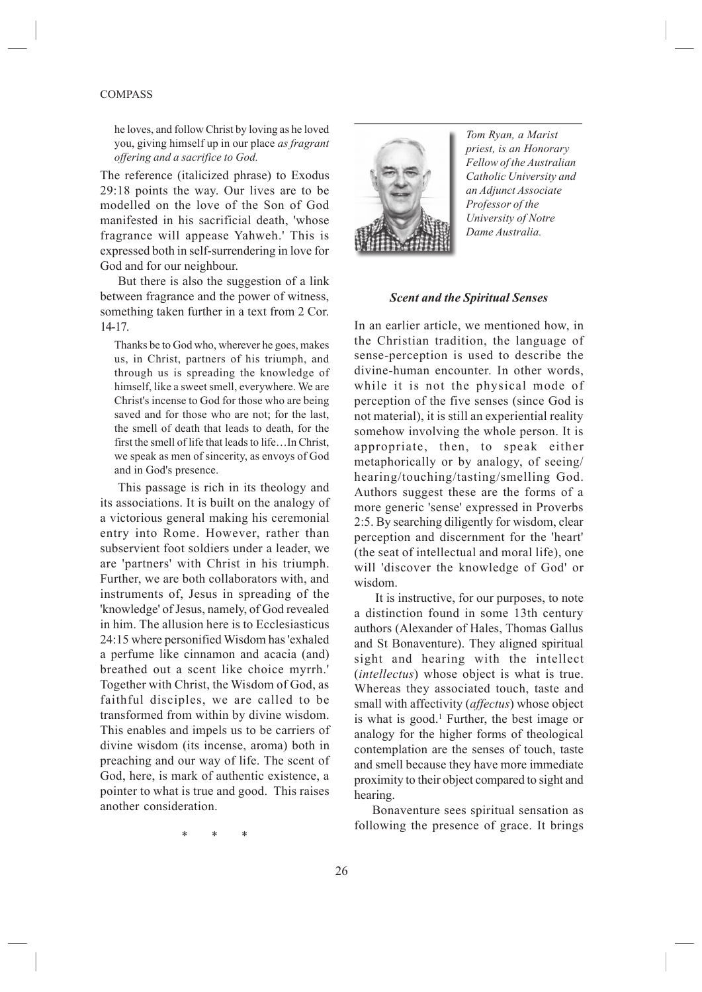#### COMPASS

he loves, and follow Christ by loving as he loved you, giving himself up in our place *as Iragrant offering and a sacrifice to God.* 

The reference (italicized phrase) to Exodus 29:18 points the way. Our lives are to be modelled on the love of the Son of God manifested in his sacrificial death, 'whose fragrance will appease Yahweh.' This is expressed both in self-surrendering in love for God and for our neighbour.

But there is also the suggestion of a link between fragrance and the power of witness, something taken further in a text from 2 Cor. 14-17.

Thanks be to God who, wherever he goes, makes us, in Christ, partners of his triumph, and through us is spreading the knowledge of himself, like a sweet smell, everywhere. We are Christ's incense to God for those who are being saved and for those who are not; for the last, the smell of death that leads to death, for the first the smell of life that leads to life...In Christ, we speak as men of sincerity, as envoys of God and in God's presence.

This passage is rich in its theology and its associations. It is built on the analogy of a victorious general making his ceremonial entry into Rome. However, rather than subservient foot soldiers under a leader, we are 'partners' with Christ in his triumph. Further, we are both collaborators with, and instruments of, Jesus in spreading of the 'knowledge' of Jesus, namely, of God revealed in him. The allusion here is to Ecclesiasticus 24:15 where personified Wisdom has 'exhaled a perfume like cinnamon and acacia (and) breathed out a scent like choice myrrh.' Together with Christ, the Wisdom of God, as faithful disciples, we are called to be transformed from within by divine wisdom. This enables and impels us to be carriers of divine wisdom (its incense, aroma) both in preaching and our way of life. The scent of God, here, is mark of authentic existence, a pointer to what is true and good. This raises another consideration.



*Tom Ryan, a Marist priest, is an Honorary*  $F$ *ellow of the Australian Catholic University and*  $an$  *Adjunct Associate Professor of the 8niYersit\ oI 1otre* Dame Australia.

#### **Scent and the Spiritual Senses**

In an earlier article, we mentioned how, in the Christian tradition, the language of sense-perception is used to describe the divine-human encounter. In other words while it is not the physical mode of perception of the five senses (since God is not material), it is still an experiential reality somehow involving the whole person. It is appropriate, then, to speak either metaphorically or by analogy, of seeing hearing/touching/tasting/smelling God. Authors suggest these are the forms of a more generic 'sense' expressed in Proverbs 2:5. By searching diligently for wisdom, clear perception and discernment for the 'heart' (the seat of intellectual and moral life), one will 'discover the knowledge of God' or wisdom.

 It is instructive, for our purposes, to note a distinction found in some 13th century authors (Alexander of Hales, Thomas Gallus and St Bonaventure). They aligned spiritual sight and hearing with the intellect (*intellectus*) whose object is what is true. Whereas they associated touch, taste and small with affectivity (*affectus*) whose object is what is good.<sup>1</sup> Further, the best image or analogy for the higher forms of theological contemplation are the senses of touch, taste and smell because they have more immediate proximity to their object compared to sight and hearing.

Bonaventure sees spiritual sensation as following the presence of grace. It brings

 $*$   $*$   $*$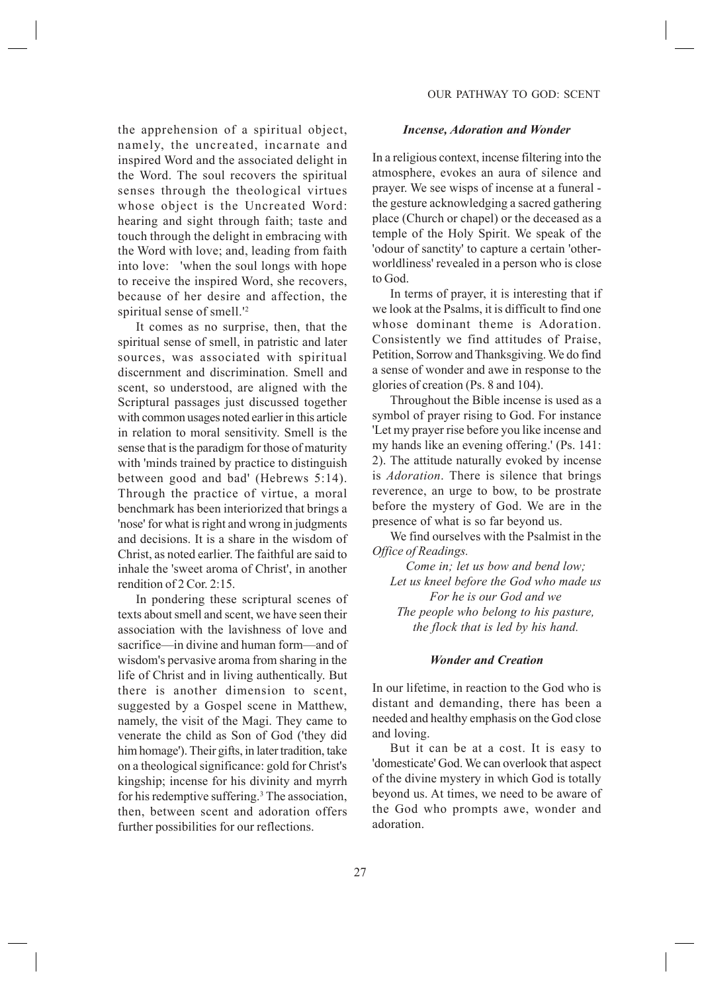the apprehension of a spiritual object, namely, the uncreated, incarnate and inspired Word and the associated delight in the Word. The soul recovers the spiritual senses through the theological virtues whose object is the Uncreated Word: hearing and sight through faith; taste and touch through the delight in embracing with the Word with love; and, leading from faith into love: 'when the soul longs with hope to receive the inspired Word, she recovers, because of her desire and affection, the spiritual sense of smell.'2

It comes as no surprise, then, that the spiritual sense of smell, in patristic and later sources, was associated with spiritual discernment and discrimination. Smell and scent, so understood, are aligned with the Scriptural passages just discussed together with common usages noted earlier in this article in relation to moral sensitivity. Smell is the sense that is the paradigm for those of maturity with 'minds trained by practice to distinguish between good and bad' (Hebrews  $5:14$ ). Through the practice of virtue, a moral benchmark has been interiorized that brings a 'nose' for what is right and wrong in judgments and decisions. It is a share in the wisdom of Christ, as noted earlier. The faithful are said to inhale the 'sweet aroma of Christ', in another rendition of  $2$  Cor. 2:15.

In pondering these scriptural scenes of texts about smell and scent, we have seen their association with the lavishness of love and sacrifice—in divine and human form—and of wisdom's pervasive aroma from sharing in the life of Christ and in living authentically. But there is another dimension to scent, suggested by a Gospel scene in Matthew, namely, the visit of the Magi. They came to venerate the child as Son of God ('they did him homage'). Their gifts, in later tradition, take on a theological significance: gold for Christ's kingship; incense for his divinity and myrrh for his redemptive suffering.<sup>3</sup> The association, then, between scent and adoration offers further possibilities for our reflections.

#### *Incense, Adoration and Wonder*

In a religious context, incense filtering into the atmosphere, evokes an aura of silence and prayer. We see wisps of incense at a funeral the gesture acknowledging a sacred gathering place (Church or chapel) or the deceased as a temple of the Holy Spirit. We speak of the 'odour of sanctity' to capture a certain 'otherworldliness' revealed in a person who is close to God.

In terms of prayer, it is interesting that if we look at the Psalms, it is difficult to find one whose dominant theme is Adoration. Consistently we find attitudes of Praise, Petition, Sorrow and Thanksgiving. We do find a sense of wonder and awe in response to the glories of creation (Ps. 8 and 104).

Throughout the Bible incense is used as a symbol of prayer rising to God. For instance 'Let my prayer rise before you like incense and my hands like an evening offering.' (Ps. 141: 2). The attitude naturally evoked by incense is *Adoration*. There is silence that brings reverence, an urge to bow, to be prostrate before the mystery of God. We are in the presence of what is so far beyond us.

We find ourselves with the Psalmist in the *<i>Office of Readings.* 

*Come in; let us bow and bend low;* Let us kneel before the God who made us For he is our God and we *The people who belong to his pasture, the flock that is led by his hand.* 

#### *Wonder and Creation*

In our lifetime, in reaction to the God who is distant and demanding, there has been a needed and healthy emphasis on the God close and loving.

But it can be at a cost. It is easy to 'domesticate' God. We can overlook that aspect of the divine mystery in which God is totally beyond us. At times, we need to be aware of the God who prompts awe, wonder and adoration.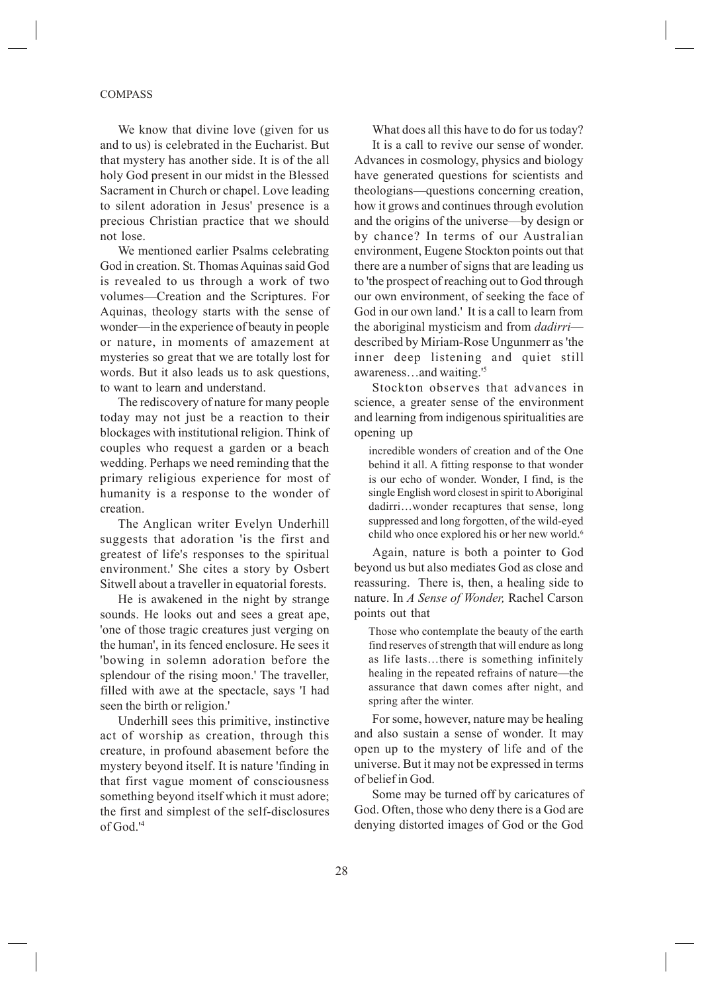#### COMPASS

We know that divine love (given for us and to us) is celebrated in the Eucharist. But that mystery has another side. It is of the all holy God present in our midst in the Blessed Sacrament in Church or chapel. Love leading to silent adoration in Jesus' presence is a precious Christian practice that we should not lose.

We mentioned earlier Psalms celebrating God in creation. St. Thomas Aquinas said God is revealed to us through a work of two volumes—Creation and the Scriptures. For Aquinas, theology starts with the sense of wonder—in the experience of beauty in people or nature, in moments of amazement at mysteries so great that we are totally lost for words. But it also leads us to ask questions, to want to learn and understand.

The rediscovery of nature for many people today may not just be a reaction to their blockages with institutional religion. Think of couples who request a garden or a beach wedding. Perhaps we need reminding that the primary religious experience for most of humanity is a response to the wonder of creation.

The Anglican writer Evelyn Underhill suggests that adoration 'is the first and greatest of life's responses to the spiritual environment.' She cites a story by Osbert Sitwell about a traveller in equatorial forests.

He is awakened in the night by strange sounds. He looks out and sees a great ape, 'one of those tragic creatures just verging on the human', in its fenced enclosure. He sees it 'bowing in solemn adoration before the splendour of the rising moon.' The traveller, filled with awe at the spectacle, says 'I had seen the birth or religion.'

Underhill sees this primitive, instinctive act of worship as creation, through this creature, in profound abasement before the mystery beyond itself. It is nature 'finding in that first vague moment of consciousness something beyond itself which it must adore; the first and simplest of the self-disclosures of God.'

What does all this have to do for us today?

It is a call to revive our sense of wonder. Advances in cosmology, physics and biology have generated questions for scientists and theologians—questions concerning creation, how it grows and continues through evolution and the origins of the universe—by design or by chance? In terms of our Australian environment, Eugene Stockton points out that there are a number of signs that are leading us to 'the prospect of reaching out to God through our own environment, of seeking the face of God in our own land.' It is a call to learn from the aboriginal mysticism and from *dadirri* described by Miriam-Rose Ungunmerr as 'the inner deep listening and quiet still awareness...and waiting.<sup>'5</sup>

Stockton observes that advances in science, a greater sense of the environment and learning from indigenous spiritualities are opening up

incredible wonders of creation and of the One behind it all. A fitting response to that wonder is our echo of wonder. Wonder, I find, is the single English word closest in spirit to Aboriginal dadirri...wonder recaptures that sense, long suppressed and long forgotten, of the wild-eyed child who once explored his or her new world.

Again, nature is both a pointer to God beyond us but also mediates God as close and reassuring. There is, then, a healing side to nature. In *A Sense of Wonder*, Rachel Carson points out that

Those who contemplate the beauty of the earth find reserves of strength that will endure as long as life lasts...there is something infinitely healing in the repeated refrains of nature—the assurance that dawn comes after night, and spring after the winter.

For some, however, nature may be healing and also sustain a sense of wonder. It may open up to the mystery of life and of the universe. But it may not be expressed in terms of belief in God.

Some may be turned off by caricatures of God. Often, those who deny there is a God are denying distorted images of God or the God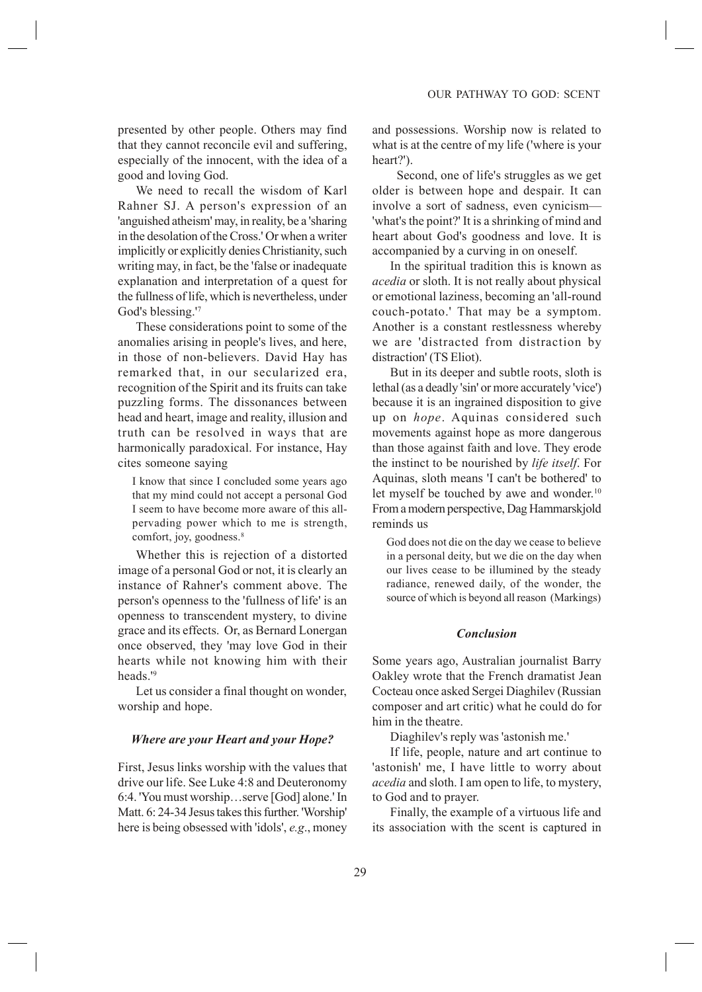presented by other people. Others may find that they cannot reconcile evil and suffering, especially of the innocent, with the idea of a good and loving God.

We need to recall the wisdom of Karl Rahner SJ. A person's expression of an 'anguished atheism' may, in reality, be a 'sharing in the desolation of the Cross.' Or when a writer implicitly or explicitly denies Christianity, such writing may, in fact, be the 'false or inadequate explanation and interpretation of a quest for the fullness of life, which is nevertheless, under God's blessing.'7

These considerations point to some of the anomalies arising in people's lives, and here, in those of non-believers. David Hay has remarked that, in our secularized era, recognition of the Spirit and its fruits can take puzzling forms. The dissonances between head and heart, image and reality, illusion and truth can be resolved in ways that are harmonically paradoxical. For instance, Hay cites someone saying

I know that since I concluded some years ago that my mind could not accept a personal God I seem to have become more aware of this allpervading power which to me is strength, comfort, joy, goodness. $8$ 

Whether this is rejection of a distorted image of a personal God or not, it is clearly an instance of Rahner's comment above. The person's openness to the 'fullness of life' is an openness to transcendent mystery, to divine grace and its effects. Or, as Bernard Lonergan once observed, they 'may love God in their hearts while not knowing him with their heads.'

Let us consider a final thought on wonder, worship and hope.

#### *Where are your Heart and your Hope?*

First, Jesus links worship with the values that drive our life. See Luke 4:8 and Deuteronomy 6:4. 'You must worship...serve [God] alone.' In Matt. 6: 24-34 Jesus takes this further. 'Worship' here is being obsessed with 'idols', *e.g.*, money

and possessions. Worship now is related to what is at the centre of my life ('where is your heart?').

 Second, one of life's struggles as we get older is between hope and despair. It can involve a sort of sadness, even cynicism— 'what's the point?' It is a shrinking of mind and heart about God's goodness and love. It is accompanied by a curving in on oneself.

In the spiritual tradition this is known as *acedia* or sloth. It is not really about physical or emotional laziness, becoming an 'all-round couch-potato.' That may be a symptom. Another is a constant restlessness whereby we are 'distracted from distraction by distraction' (TS Eliot).

But in its deeper and subtle roots, sloth is lethal (as a deadly 'sin' or more accurately 'vice') because it is an ingrained disposition to give up on *hope*. Aquinas considered such movements against hope as more dangerous than those against faith and love. They erode the instinct to be nourished by *life itself*. For Aquinas, sloth means 'I can't be bothered' to let myself be touched by awe and wonder.<sup>10</sup> From a modern perspective, Dag Hammarskjold reminds us

God does not die on the day we cease to believe in a personal deity, but we die on the day when our lives cease to be illumined by the steady radiance, renewed daily, of the wonder, the source of which is beyond all reason (Markings)

#### *Conclusion*

Some years ago, Australian journalist Barry Oakley wrote that the French dramatist Jean Cocteau once asked Sergei Diaghilev (Russian composer and art critic) what he could do for him in the theatre.

Diaghilev's reply was 'astonish me.'

If life, people, nature and art continue to 'astonish' me, I have little to worry about *acedia* and sloth. I am open to life, to mystery, to God and to prayer.

Finally, the example of a virtuous life and its association with the scent is captured in